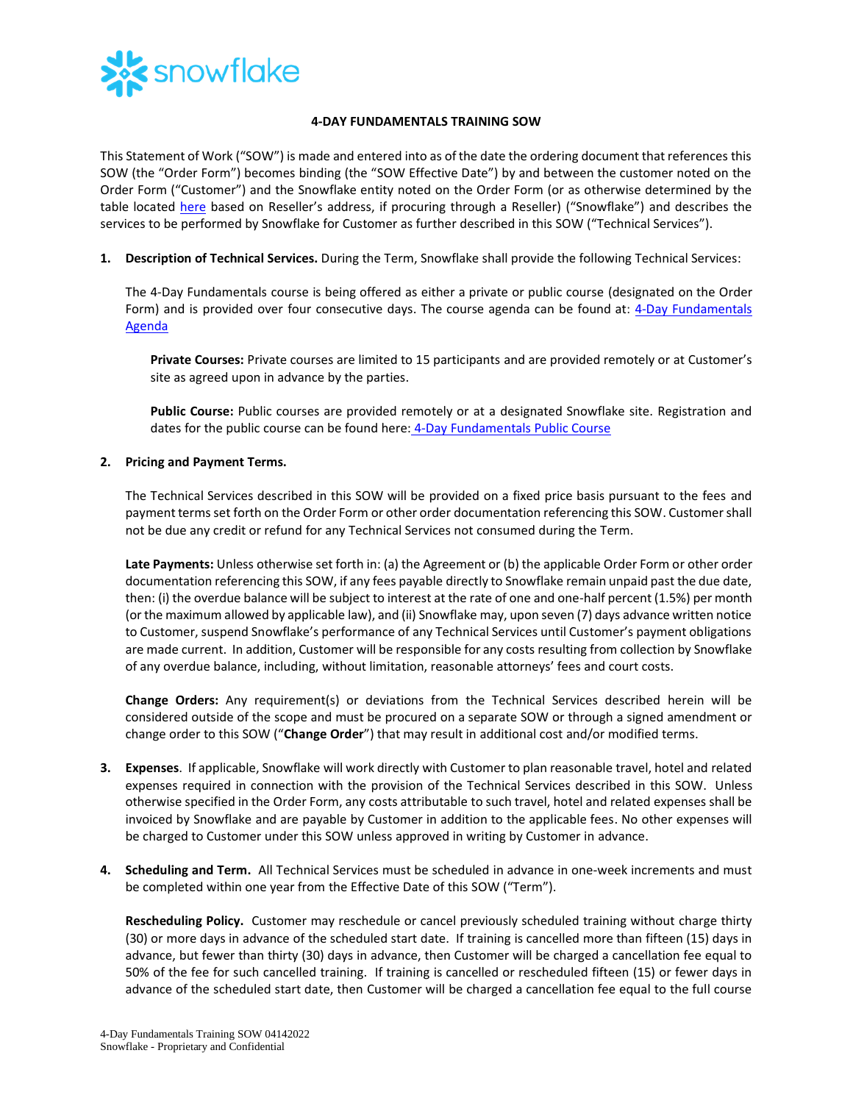

## **4-DAY FUNDAMENTALS TRAINING SOW**

This Statement of Work ("SOW") is made and entered into as of the date the ordering document that references this SOW (the "Order Form") becomes binding (the "SOW Effective Date") by and between the customer noted on the Order Form ("Customer") and the Snowflake entity noted on the Order Form (or as otherwise determined by the table located [here](https://www.snowflake.com/legal/snowflake-contracting-entities/) based on Reseller's address, if procuring through a Reseller) ("Snowflake") and describes the services to be performed by Snowflake for Customer as further described in this SOW ("Technical Services").

**1. Description of Technical Services.** During the Term, Snowflake shall provide the following Technical Services:

The 4-Day Fundamentals course is being offered as either a private or public course (designated on the Order Form) and is provided over four consecutive days. The course agenda can be found at: [4-Day Fundamentals](https://bit.ly/4DayFund-datasheet)  [Agenda](https://bit.ly/4DayFund-datasheet)

**Private Courses:** Private courses are limited to 15 participants and are provided remotely or at Customer's site as agreed upon in advance by the parties.

**Public Course:** Public courses are provided remotely or at a designated Snowflake site. Registration and dates for the public course can be found here: [4-Day Fundamentals Public Course](https://training.snowflake.com/schedule)

## **2. Pricing and Payment Terms.**

The Technical Services described in this SOW will be provided on a fixed price basis pursuant to the fees and payment terms set forth on the Order Form or other order documentation referencing this SOW. Customer shall not be due any credit or refund for any Technical Services not consumed during the Term.

**Late Payments:** Unless otherwise set forth in: (a) the Agreement or (b) the applicable Order Form or other order documentation referencing this SOW, if any fees payable directly to Snowflake remain unpaid past the due date, then: (i) the overdue balance will be subject to interest at the rate of one and one-half percent (1.5%) per month (or the maximum allowed by applicable law), and (ii) Snowflake may, upon seven (7) days advance written notice to Customer, suspend Snowflake's performance of any Technical Services until Customer's payment obligations are made current. In addition, Customer will be responsible for any costs resulting from collection by Snowflake of any overdue balance, including, without limitation, reasonable attorneys' fees and court costs.

**Change Orders:** Any requirement(s) or deviations from the Technical Services described herein will be considered outside of the scope and must be procured on a separate SOW or through a signed amendment or change order to this SOW ("**Change Order**") that may result in additional cost and/or modified terms.

- **3. Expenses**. If applicable, Snowflake will work directly with Customer to plan reasonable travel, hotel and related expenses required in connection with the provision of the Technical Services described in this SOW. Unless otherwise specified in the Order Form, any costs attributable to such travel, hotel and related expenses shall be invoiced by Snowflake and are payable by Customer in addition to the applicable fees. No other expenses will be charged to Customer under this SOW unless approved in writing by Customer in advance.
- **4. Scheduling and Term.** All Technical Services must be scheduled in advance in one-week increments and must be completed within one year from the Effective Date of this SOW ("Term").

**Rescheduling Policy.** Customer may reschedule or cancel previously scheduled training without charge thirty (30) or more days in advance of the scheduled start date. If training is cancelled more than fifteen (15) days in advance, but fewer than thirty (30) days in advance, then Customer will be charged a cancellation fee equal to 50% of the fee for such cancelled training. If training is cancelled or rescheduled fifteen (15) or fewer days in advance of the scheduled start date, then Customer will be charged a cancellation fee equal to the full course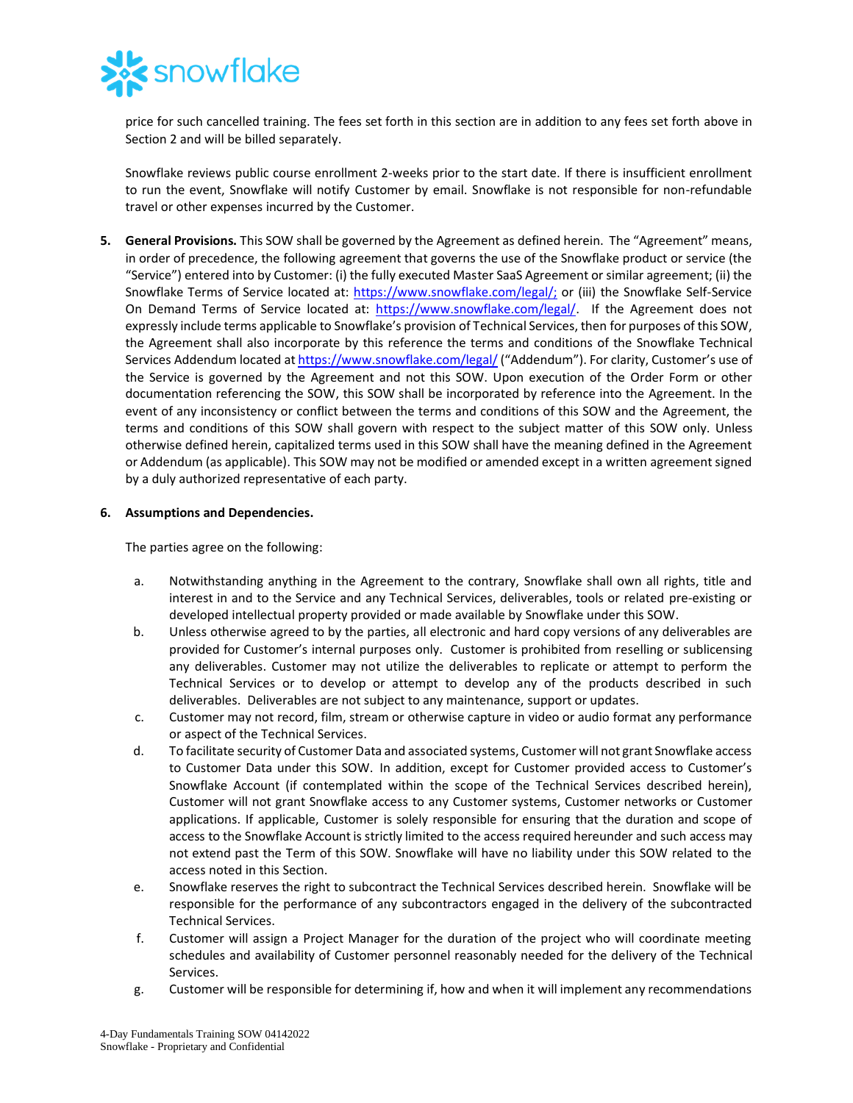

price for such cancelled training. The fees set forth in this section are in addition to any fees set forth above in Section 2 and will be billed separately.

Snowflake reviews public course enrollment 2-weeks prior to the start date. If there is insufficient enrollment to run the event, Snowflake will notify Customer by email. Snowflake is not responsible for non-refundable travel or other expenses incurred by the Customer.

**5. General Provisions.** This SOW shall be governed by the Agreement as defined herein. The "Agreement" means, in order of precedence, the following agreement that governs the use of the Snowflake product or service (the "Service") entered into by Customer: (i) the fully executed Master SaaS Agreement or similar agreement; (ii) the Snowflake Terms of Service located at: [https://www.snowflake.com/legal/;](https://www.snowflake.com/legal/) or (iii) the Snowflake Self-Service On Demand Terms of Service located at: [https://www.snowflake.com/legal/.](https://www.snowflake.com/legal/) If the Agreement does not expressly include terms applicable to Snowflake's provision of Technical Services, then for purposes of this SOW, the Agreement shall also incorporate by this reference the terms and conditions of the Snowflake Technical Services Addendum located a[t https://www.snowflake.com/legal/](https://www.snowflake.com/legal/) ("Addendum"). For clarity, Customer's use of the Service is governed by the Agreement and not this SOW. Upon execution of the Order Form or other documentation referencing the SOW, this SOW shall be incorporated by reference into the Agreement. In the event of any inconsistency or conflict between the terms and conditions of this SOW and the Agreement, the terms and conditions of this SOW shall govern with respect to the subject matter of this SOW only. Unless otherwise defined herein, capitalized terms used in this SOW shall have the meaning defined in the Agreement or Addendum (as applicable). This SOW may not be modified or amended except in a written agreement signed by a duly authorized representative of each party.

## **6. Assumptions and Dependencies.**

The parties agree on the following:

- a. Notwithstanding anything in the Agreement to the contrary, Snowflake shall own all rights, title and interest in and to the Service and any Technical Services, deliverables, tools or related pre-existing or developed intellectual property provided or made available by Snowflake under this SOW.
- b. Unless otherwise agreed to by the parties, all electronic and hard copy versions of any deliverables are provided for Customer's internal purposes only. Customer is prohibited from reselling or sublicensing any deliverables. Customer may not utilize the deliverables to replicate or attempt to perform the Technical Services or to develop or attempt to develop any of the products described in such deliverables. Deliverables are not subject to any maintenance, support or updates.
- c. Customer may not record, film, stream or otherwise capture in video or audio format any performance or aspect of the Technical Services.
- d. To facilitate security of Customer Data and associated systems, Customer will not grant Snowflake access to Customer Data under this SOW. In addition, except for Customer provided access to Customer's Snowflake Account (if contemplated within the scope of the Technical Services described herein), Customer will not grant Snowflake access to any Customer systems, Customer networks or Customer applications. If applicable, Customer is solely responsible for ensuring that the duration and scope of access to the Snowflake Account is strictly limited to the access required hereunder and such access may not extend past the Term of this SOW. Snowflake will have no liability under this SOW related to the access noted in this Section.
- e. Snowflake reserves the right to subcontract the Technical Services described herein. Snowflake will be responsible for the performance of any subcontractors engaged in the delivery of the subcontracted Technical Services.
- f. Customer will assign a Project Manager for the duration of the project who will coordinate meeting schedules and availability of Customer personnel reasonably needed for the delivery of the Technical Services.
- g. Customer will be responsible for determining if, how and when it will implement any recommendations